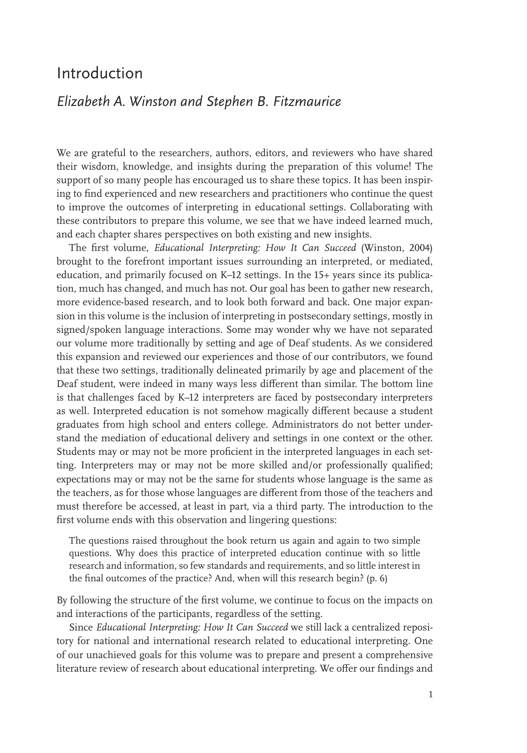# Introduction

# *Elizabeth A. Winston and Stephen B. Fitzmaurice*

We are grateful to the researchers, authors, editors, and reviewers who have shared their wisdom, knowledge, and insights during the preparation of this volume! The support of so many people has encouraged us to share these topics. It has been inspiring to find experienced and new researchers and practitioners who continue the quest to improve the outcomes of interpreting in educational settings. Collaborating with these contributors to prepare this volume, we see that we have indeed learned much, and each chapter shares perspectives on both existing and new insights.

The first volume, *Educational Interpreting: How It Can Succeed* (Winston, 2004) brought to the forefront important issues surrounding an interpreted, or mediated, education, and primarily focused on K–12 settings. In the 15+ years since its publication, much has changed, and much has not. Our goal has been to gather new research, more evidence-based research, and to look both forward and back. One major expansion in this volume is the inclusion of interpreting in postsecondary settings, mostly in signed/spoken language interactions. Some may wonder why we have not separated our volume more traditionally by setting and age of Deaf students. As we considered this expansion and reviewed our experiences and those of our contributors, we found that these two settings, traditionally delineated primarily by age and placement of the Deaf student, were indeed in many ways less different than similar. The bottom line is that challenges faced by K–12 interpreters are faced by postsecondary interpreters as well. Interpreted education is not somehow magically different because a student graduates from high school and enters college. Administrators do not better understand the mediation of educational delivery and settings in one context or the other. Students may or may not be more proficient in the interpreted languages in each setting. Interpreters may or may not be more skilled and/or professionally qualified; expectations may or may not be the same for students whose language is the same as the teachers, as for those whose languages are different from those of the teachers and must therefore be accessed, at least in part, via a third party. The introduction to the first volume ends with this observation and lingering questions:

The questions raised throughout the book return us again and again to two simple questions. Why does this practice of interpreted education continue with so little research and information, so few standards and requirements, and so little interest in the final outcomes of the practice? And, when will this research begin? (p. 6)

By following the structure of the first volume, we continue to focus on the impacts on and interactions of the participants, regardless of the setting.

Since *Educational Interpreting: How It Can Succeed* we still lack a centralized repository for national and international research related to educational interpreting. One of our unachieved goals for this volume was to prepare and present a comprehensive literature review of research about educational interpreting. We offer our findings and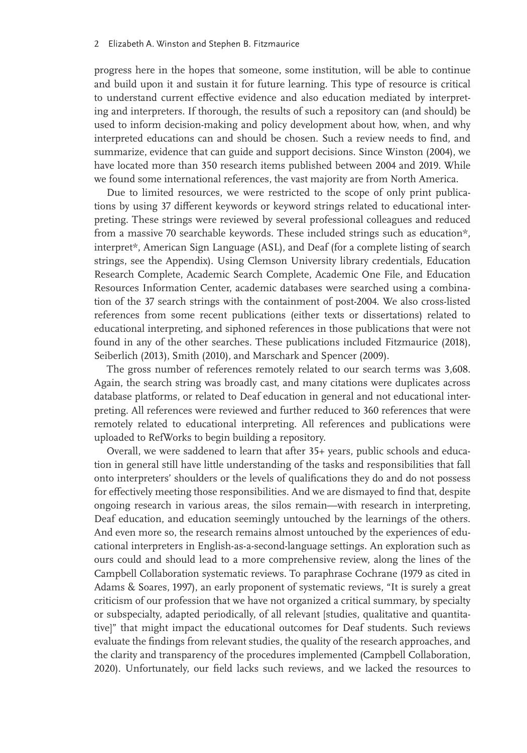#### 2 Elizabeth A. Winston and Stephen B. Fitzmaurice

progress here in the hopes that someone, some institution, will be able to continue and build upon it and sustain it for future learning. This type of resource is critical to understand current effective evidence and also education mediated by interpreting and interpreters. If thorough, the results of such a repository can (and should) be used to inform decision-making and policy development about how, when, and why interpreted educations can and should be chosen. Such a review needs to find, and summarize, evidence that can guide and support decisions. Since Winston (2004), we have located more than 350 research items published between 2004 and 2019. While we found some international references, the vast majority are from North America.

Due to limited resources, we were restricted to the scope of only print publications by using 37 different keywords or keyword strings related to educational interpreting. These strings were reviewed by several professional colleagues and reduced from a massive 70 searchable keywords. These included strings such as education\*, interpret\*, American Sign Language (ASL), and Deaf (for a complete listing of search strings, see the Appendix). Using Clemson University library credentials, Education Research Complete, Academic Search Complete, Academic One File, and Education Resources Information Center, academic databases were searched using a combination of the 37 search strings with the containment of post-2004. We also cross-listed references from some recent publications (either texts or dissertations) related to educational interpreting, and siphoned references in those publications that were not found in any of the other searches. These publications included Fitzmaurice (2018), Seiberlich (2013), Smith (2010), and Marschark and Spencer (2009).

The gross number of references remotely related to our search terms was 3,608. Again, the search string was broadly cast, and many citations were duplicates across database platforms, or related to Deaf education in general and not educational interpreting. All references were reviewed and further reduced to 360 references that were remotely related to educational interpreting. All references and publications were uploaded to RefWorks to begin building a repository.

Overall, we were saddened to learn that after 35+ years, public schools and education in general still have little understanding of the tasks and responsibilities that fall onto interpreters' shoulders or the levels of qualifications they do and do not possess for effectively meeting those responsibilities. And we are dismayed to find that, despite ongoing research in various areas, the silos remain—with research in interpreting, Deaf education, and education seemingly untouched by the learnings of the others. And even more so, the research remains almost untouched by the experiences of educational interpreters in English-as-a-second-language settings. An exploration such as ours could and should lead to a more comprehensive review, along the lines of the Campbell Collaboration systematic reviews. To paraphrase Cochrane (1979 as cited in Adams & Soares, 1997), an early proponent of systematic reviews, "It is surely a great criticism of our profession that we have not organized a critical summary, by specialty or subspecialty, adapted periodically, of all relevant [studies, qualitative and quantitative]" that might impact the educational outcomes for Deaf students. Such reviews evaluate the findings from relevant studies, the quality of the research approaches, and the clarity and transparency of the procedures implemented (Campbell Collaboration, 2020). Unfortunately, our field lacks such reviews, and we lacked the resources to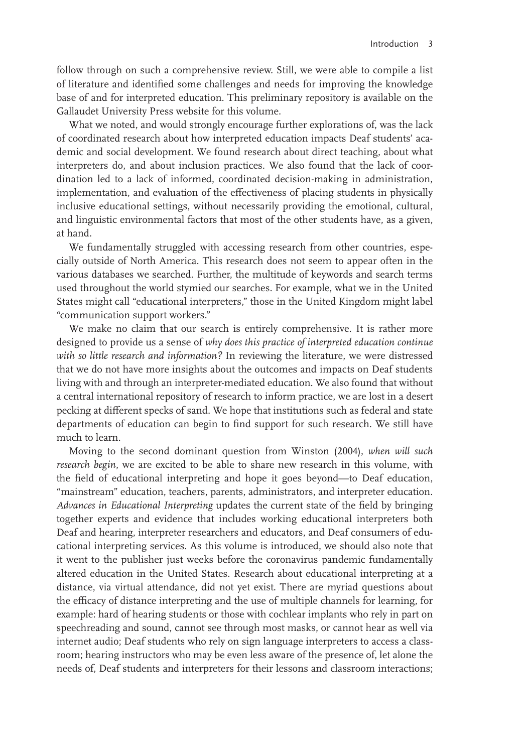follow through on such a comprehensive review. Still, we were able to compile a list of literature and identified some challenges and needs for improving the knowledge base of and for interpreted education. This preliminary repository is available on the Gallaudet University Press website for this volume.

What we noted, and would strongly encourage further explorations of, was the lack of coordinated research about how interpreted education impacts Deaf students' academic and social development. We found research about direct teaching, about what interpreters do, and about inclusion practices. We also found that the lack of coordination led to a lack of informed, coordinated decision-making in administration, implementation, and evaluation of the effectiveness of placing students in physically inclusive educational settings, without necessarily providing the emotional, cultural, and linguistic environmental factors that most of the other students have, as a given, at hand.

We fundamentally struggled with accessing research from other countries, especially outside of North America. This research does not seem to appear often in the various databases we searched. Further, the multitude of keywords and search terms used throughout the world stymied our searches. For example, what we in the United States might call "educational interpreters," those in the United Kingdom might label "communication support workers."

We make no claim that our search is entirely comprehensive. It is rather more designed to provide us a sense of *why does this practice of interpreted education continue with so little research and information?* In reviewing the literature, we were distressed that we do not have more insights about the outcomes and impacts on Deaf students living with and through an interpreter-mediated education. We also found that without a central international repository of research to inform practice, we are lost in a desert pecking at different specks of sand. We hope that institutions such as federal and state departments of education can begin to find support for such research. We still have much to learn.

Moving to the second dominant question from Winston (2004), *when will such research begin*, we are excited to be able to share new research in this volume, with the field of educational interpreting and hope it goes beyond—to Deaf education, "mainstream" education, teachers, parents, administrators, and interpreter education. *Advances in Educational Interpreting* updates the current state of the field by bringing together experts and evidence that includes working educational interpreters both Deaf and hearing, interpreter researchers and educators, and Deaf consumers of educational interpreting services. As this volume is introduced, we should also note that it went to the publisher just weeks before the coronavirus pandemic fundamentally altered education in the United States. Research about educational interpreting at a distance, via virtual attendance, did not yet exist. There are myriad questions about the efficacy of distance interpreting and the use of multiple channels for learning, for example: hard of hearing students or those with cochlear implants who rely in part on speechreading and sound, cannot see through most masks, or cannot hear as well via internet audio; Deaf students who rely on sign language interpreters to access a classroom; hearing instructors who may be even less aware of the presence of, let alone the needs of, Deaf students and interpreters for their lessons and classroom interactions;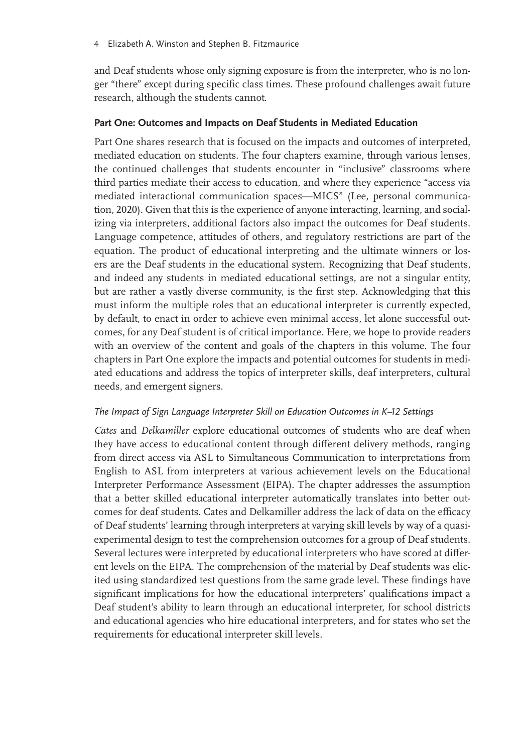and Deaf students whose only signing exposure is from the interpreter, who is no longer "there" except during specific class times. These profound challenges await future research, although the students cannot.

## **Part One: Outcomes and Impacts on Deaf Students in Mediated Education**

Part One shares research that is focused on the impacts and outcomes of interpreted, mediated education on students. The four chapters examine, through various lenses, the continued challenges that students encounter in "inclusive" classrooms where third parties mediate their access to education, and where they experience "access via mediated interactional communication spaces—MICS" (Lee, personal communication, 2020). Given that this is the experience of anyone interacting, learning, and socializing via interpreters, additional factors also impact the outcomes for Deaf students. Language competence, attitudes of others, and regulatory restrictions are part of the equation. The product of educational interpreting and the ultimate winners or losers are the Deaf students in the educational system. Recognizing that Deaf students, and indeed any students in mediated educational settings, are not a singular entity, but are rather a vastly diverse community, is the first step. Acknowledging that this must inform the multiple roles that an educational interpreter is currently expected, by default, to enact in order to achieve even minimal access, let alone successful outcomes, for any Deaf student is of critical importance. Here, we hope to provide readers with an overview of the content and goals of the chapters in this volume. The four chapters in Part One explore the impacts and potential outcomes for students in mediated educations and address the topics of interpreter skills, deaf interpreters, cultural needs, and emergent signers.

## *The Impact of Sign Language Interpreter Skill on Education Outcomes in K–12 Settings*

*Cates* and *Delkamiller* explore educational outcomes of students who are deaf when they have access to educational content through different delivery methods, ranging from direct access via ASL to Simultaneous Communication to interpretations from English to ASL from interpreters at various achievement levels on the Educational Interpreter Performance Assessment (EIPA). The chapter addresses the assumption that a better skilled educational interpreter automatically translates into better outcomes for deaf students. Cates and Delkamiller address the lack of data on the efficacy of Deaf students' learning through interpreters at varying skill levels by way of a quasiexperimental design to test the comprehension outcomes for a group of Deaf students. Several lectures were interpreted by educational interpreters who have scored at different levels on the EIPA. The comprehension of the material by Deaf students was elicited using standardized test questions from the same grade level. These findings have significant implications for how the educational interpreters' qualifications impact a Deaf student's ability to learn through an educational interpreter, for school districts and educational agencies who hire educational interpreters, and for states who set the requirements for educational interpreter skill levels.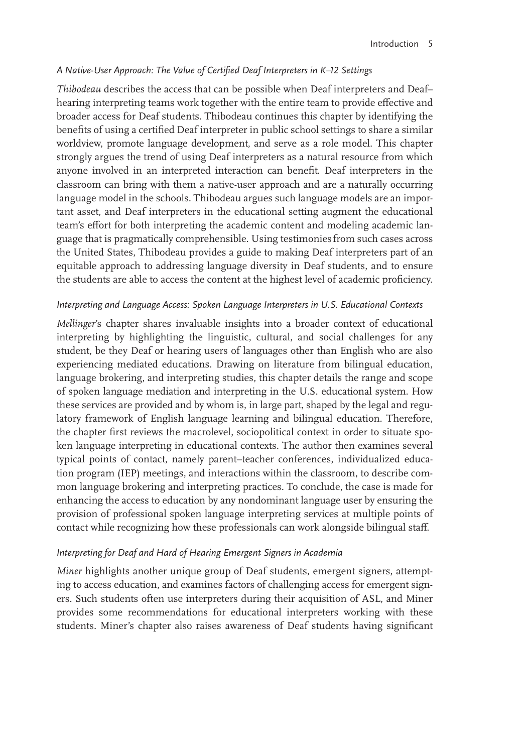## *A Native-User Approach: The Value of Certified Deaf Interpreters in K–12 Settings*

*Thibodeau* describes the access that can be possible when Deaf interpreters and Deaf– hearing interpreting teams work together with the entire team to provide effective and broader access for Deaf students. Thibodeau continues this chapter by identifying the benefits of using a certified Deaf interpreter in public school settings to share a similar worldview, promote language development, and serve as a role model. This chapter strongly argues the trend of using Deaf interpreters as a natural resource from which anyone involved in an interpreted interaction can benefit. Deaf interpreters in the classroom can bring with them a native-user approach and are a naturally occurring language model in the schools. Thibodeau argues such language models are an important asset, and Deaf interpreters in the educational setting augment the educational team's effort for both interpreting the academic content and modeling academic language that is pragmatically comprehensible. Using testimonies from such cases across the United States, Thibodeau provides a guide to making Deaf interpreters part of an equitable approach to addressing language diversity in Deaf students, and to ensure the students are able to access the content at the highest level of academic proficiency.

## *Interpreting and Language Access: Spoken Language Interpreters in U.S. Educational Contexts*

*Mellinger*'s chapter shares invaluable insights into a broader context of educational interpreting by highlighting the linguistic, cultural, and social challenges for any student, be they Deaf or hearing users of languages other than English who are also experiencing mediated educations. Drawing on literature from bilingual education, language brokering, and interpreting studies, this chapter details the range and scope of spoken language mediation and interpreting in the U.S. educational system. How these services are provided and by whom is, in large part, shaped by the legal and regulatory framework of English language learning and bilingual education. Therefore, the chapter first reviews the macrolevel, sociopolitical context in order to situate spoken language interpreting in educational contexts. The author then examines several typical points of contact, namely parent–teacher conferences, individualized education program (IEP) meetings, and interactions within the classroom, to describe common language brokering and interpreting practices. To conclude, the case is made for enhancing the access to education by any nondominant language user by ensuring the provision of professional spoken language interpreting services at multiple points of contact while recognizing how these professionals can work alongside bilingual staff.

## *Interpreting for Deaf and Hard of Hearing Emergent Signers in Academia*

*Miner* highlights another unique group of Deaf students, emergent signers, attempting to access education, and examines factors of challenging access for emergent signers. Such students often use interpreters during their acquisition of ASL, and Miner provides some recommendations for educational interpreters working with these students. Miner's chapter also raises awareness of Deaf students having significant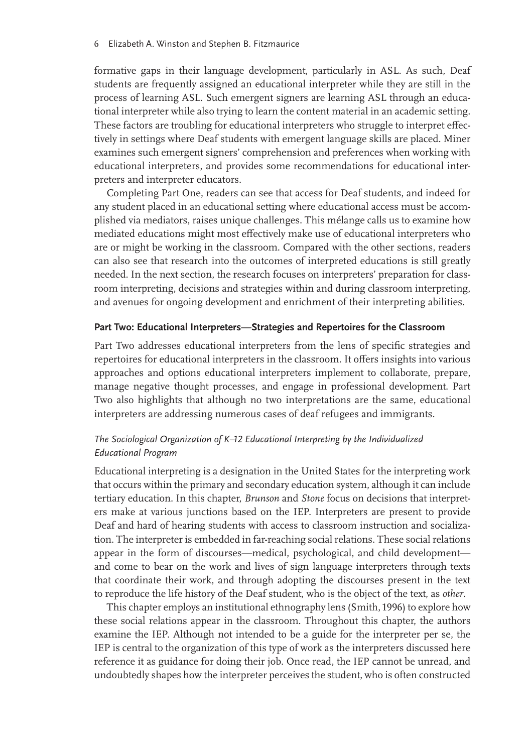#### 6 Elizabeth A. Winston and Stephen B. Fitzmaurice

formative gaps in their language development, particularly in ASL. As such, Deaf students are frequently assigned an educational interpreter while they are still in the process of learning ASL. Such emergent signers are learning ASL through an educational interpreter while also trying to learn the content material in an academic setting. These factors are troubling for educational interpreters who struggle to interpret effectively in settings where Deaf students with emergent language skills are placed. Miner examines such emergent signers' comprehension and preferences when working with educational interpreters, and provides some recommendations for educational interpreters and interpreter educators.

Completing Part One, readers can see that access for Deaf students, and indeed for any student placed in an educational setting where educational access must be accomplished via mediators, raises unique challenges. This mélange calls us to examine how mediated educations might most effectively make use of educational interpreters who are or might be working in the classroom. Compared with the other sections, readers can also see that research into the outcomes of interpreted educations is still greatly needed. In the next section, the research focuses on interpreters' preparation for classroom interpreting, decisions and strategies within and during classroom interpreting, and avenues for ongoing development and enrichment of their interpreting abilities.

## **Part Two: Educational Interpreters—Strategies and Repertoires for the Classroom**

Part Two addresses educational interpreters from the lens of specific strategies and repertoires for educational interpreters in the classroom. It offers insights into various approaches and options educational interpreters implement to collaborate, prepare, manage negative thought processes, and engage in professional development. Part Two also highlights that although no two interpretations are the same, educational interpreters are addressing numerous cases of deaf refugees and immigrants.

# *The Sociological Organization of K–12 Educational Interpreting by the Individualized Educational Program*

Educational interpreting is a designation in the United States for the interpreting work that occurs within the primary and secondary education system, although it can include tertiary education. In this chapter, *Brunson* and *Stone* focus on decisions that interpreters make at various junctions based on the IEP. Interpreters are present to provide Deaf and hard of hearing students with access to classroom instruction and socialization. The interpreter is embedded in far-reaching social relations. These social relations appear in the form of discourses—medical, psychological, and child development and come to bear on the work and lives of sign language interpreters through texts that coordinate their work, and through adopting the discourses present in the text to reproduce the life history of the Deaf student, who is the object of the text, as *other*.

This chapter employs an institutional ethnography lens (Smith, 1996) to explore how these social relations appear in the classroom. Throughout this chapter, the authors examine the IEP. Although not intended to be a guide for the interpreter per se, the IEP is central to the organization of this type of work as the interpreters discussed here reference it as guidance for doing their job. Once read, the IEP cannot be unread, and undoubtedly shapes how the interpreter perceives the student, who is often constructed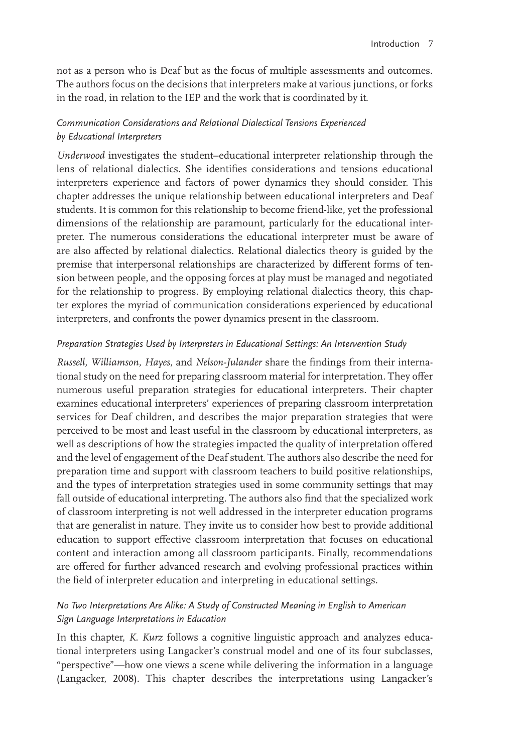not as a person who is Deaf but as the focus of multiple assessments and outcomes. The authors focus on the decisions that interpreters make at various junctions, or forks in the road, in relation to the IEP and the work that is coordinated by it.

# *Communication Considerations and Relational Dialectical Tensions Experienced by Educational Interpreters*

*Underwood* investigates the student–educational interpreter relationship through the lens of relational dialectics. She identifies considerations and tensions educational interpreters experience and factors of power dynamics they should consider. This chapter addresses the unique relationship between educational interpreters and Deaf students. It is common for this relationship to become friend-like, yet the professional dimensions of the relationship are paramount, particularly for the educational interpreter. The numerous considerations the educational interpreter must be aware of are also affected by relational dialectics. Relational dialectics theory is guided by the premise that interpersonal relationships are characterized by different forms of tension between people, and the opposing forces at play must be managed and negotiated for the relationship to progress. By employing relational dialectics theory, this chapter explores the myriad of communication considerations experienced by educational interpreters, and confronts the power dynamics present in the classroom.

# *Preparation Strategies Used by Interpreters in Educational Settings: An Intervention Study*

*Russell, Williamson, Hayes,* and *Nelson-Julander* share the findings from their international study on the need for preparing classroom material for interpretation. They offer numerous useful preparation strategies for educational interpreters. Their chapter examines educational interpreters' experiences of preparing classroom interpretation services for Deaf children, and describes the major preparation strategies that were perceived to be most and least useful in the classroom by educational interpreters, as well as descriptions of how the strategies impacted the quality of interpretation offered and the level of engagement of the Deaf student. The authors also describe the need for preparation time and support with classroom teachers to build positive relationships, and the types of interpretation strategies used in some community settings that may fall outside of educational interpreting. The authors also find that the specialized work of classroom interpreting is not well addressed in the interpreter education programs that are generalist in nature. They invite us to consider how best to provide additional education to support effective classroom interpretation that focuses on educational content and interaction among all classroom participants. Finally, recommendations are offered for further advanced research and evolving professional practices within the field of interpreter education and interpreting in educational settings.

# *No Two Interpretations Are Alike: A Study of Constructed Meaning in English to American Sign Language Interpretations in Education*

In this chapter, *K. Kurz* follows a cognitive linguistic approach and analyzes educational interpreters using Langacker's construal model and one of its four subclasses, "perspective"—how one views a scene while delivering the information in a language (Langacker, 2008). This chapter describes the interpretations using Langacker's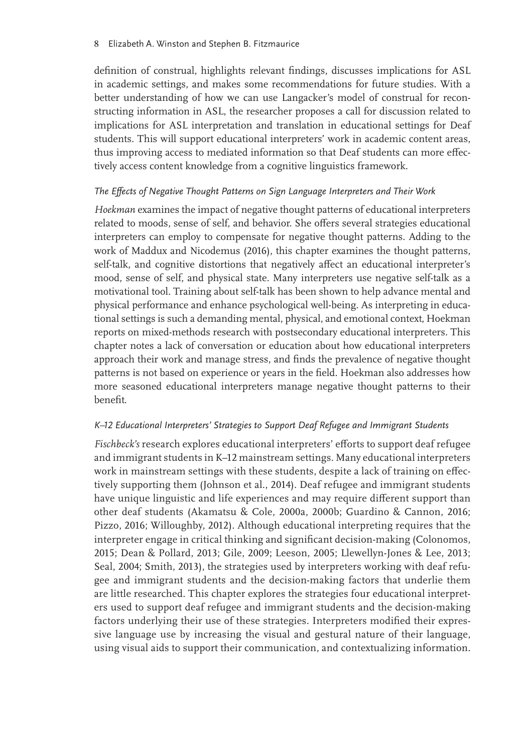definition of construal, highlights relevant findings, discusses implications for ASL in academic settings, and makes some recommendations for future studies. With a better understanding of how we can use Langacker's model of construal for reconstructing information in ASL, the researcher proposes a call for discussion related to implications for ASL interpretation and translation in educational settings for Deaf students. This will support educational interpreters' work in academic content areas, thus improving access to mediated information so that Deaf students can more effectively access content knowledge from a cognitive linguistics framework.

## *The Effects of Negative Thought Patterns on Sign Language Interpreters and Their Work*

*Hoekman* examines the impact of negative thought patterns of educational interpreters related to moods, sense of self, and behavior. She offers several strategies educational interpreters can employ to compensate for negative thought patterns. Adding to the work of Maddux and Nicodemus (2016), this chapter examines the thought patterns, self-talk, and cognitive distortions that negatively affect an educational interpreter's mood, sense of self, and physical state. Many interpreters use negative self-talk as a motivational tool. Training about self-talk has been shown to help advance mental and physical performance and enhance psychological well-being. As interpreting in educational settings is such a demanding mental, physical, and emotional context, Hoekman reports on mixed-methods research with postsecondary educational interpreters. This chapter notes a lack of conversation or education about how educational interpreters approach their work and manage stress, and finds the prevalence of negative thought patterns is not based on experience or years in the field. Hoekman also addresses how more seasoned educational interpreters manage negative thought patterns to their benefit.

## *K–12 Educational Interpreters' Strategies to Support Deaf Refugee and Immigrant Students*

*Fischbeck's* research explores educational interpreters' efforts to support deaf refugee and immigrant students in K–12 mainstream settings. Many educational interpreters work in mainstream settings with these students, despite a lack of training on effectively supporting them (Johnson et al., 2014). Deaf refugee and immigrant students have unique linguistic and life experiences and may require different support than other deaf students (Akamatsu & Cole, 2000a, 2000b; Guardino & Cannon, 2016; Pizzo, 2016; Willoughby, 2012). Although educational interpreting requires that the interpreter engage in critical thinking and significant decision-making (Colonomos, 2015; Dean & Pollard, 2013; Gile, 2009; Leeson, 2005; Llewellyn-Jones & Lee, 2013; Seal, 2004; Smith, 2013), the strategies used by interpreters working with deaf refugee and immigrant students and the decision-making factors that underlie them are little researched. This chapter explores the strategies four educational interpreters used to support deaf refugee and immigrant students and the decision-making factors underlying their use of these strategies. Interpreters modified their expressive language use by increasing the visual and gestural nature of their language, using visual aids to support their communication, and contextualizing information.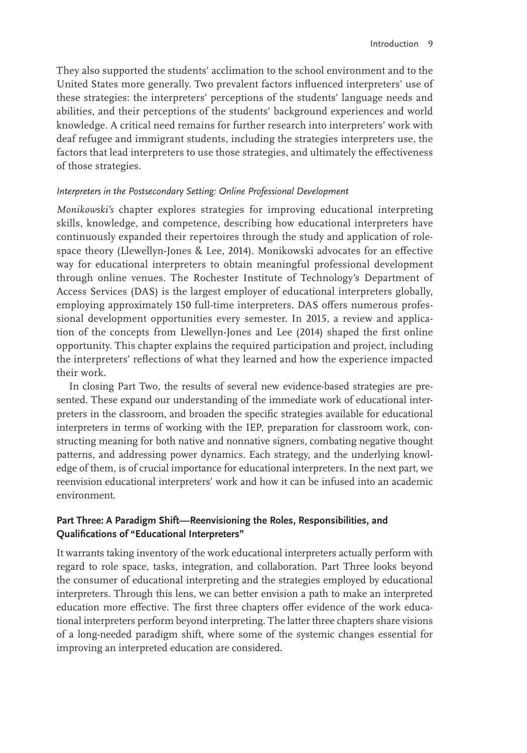They also supported the students' acclimation to the school environment and to the United States more generally. Two prevalent factors influenced interpreters' use of these strategies: the interpreters' perceptions of the students' language needs and abilities, and their perceptions of the students' background experiences and world knowledge. A critical need remains for further research into interpreters' work with deaf refugee and immigrant students, including the strategies interpreters use, the factors that lead interpreters to use those strategies, and ultimately the effectiveness of those strategies.

## *Interpreters in the Postsecondary Setting: Online Professional Development*

*Monikowski's* chapter explores strategies for improving educational interpreting skills, knowledge, and competence, describing how educational interpreters have continuously expanded their repertoires through the study and application of rolespace theory (Llewellyn-Jones & Lee, 2014). Monikowski advocates for an effective way for educational interpreters to obtain meaningful professional development through online venues. The Rochester Institute of Technology's Department of Access Services (DAS) is the largest employer of educational interpreters globally, employing approximately 150 full-time interpreters. DAS offers numerous professional development opportunities every semester. In 2015, a review and application of the concepts from Llewellyn-Jones and Lee (2014) shaped the first online opportunity. This chapter explains the required participation and project, including the interpreters' reflections of what they learned and how the experience impacted their work.

In closing Part Two, the results of several new evidence-based strategies are presented. These expand our understanding of the immediate work of educational interpreters in the classroom, and broaden the specific strategies available for educational interpreters in terms of working with the IEP, preparation for classroom work, constructing meaning for both native and nonnative signers, combating negative thought patterns, and addressing power dynamics. Each strategy, and the underlying knowledge of them, is of crucial importance for educational interpreters. In the next part, we reenvision educational interpreters' work and how it can be infused into an academic environment.

# **Part Three: A Paradigm Shift—Reenvisioning the Roles, Responsibilities, and Qualifications of "Educational Interpreters"**

It warrants taking inventory of the work educational interpreters actually perform with regard to role space, tasks, integration, and collaboration. Part Three looks beyond the consumer of educational interpreting and the strategies employed by educational interpreters. Through this lens, we can better envision a path to make an interpreted education more effective. The first three chapters offer evidence of the work educational interpreters perform beyond interpreting. The latter three chapters share visions of a long-needed paradigm shift, where some of the systemic changes essential for improving an interpreted education are considered.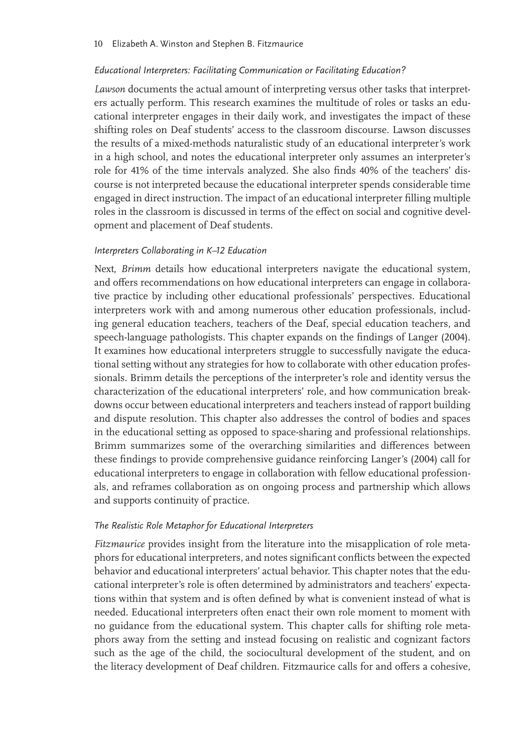#### *Educational Interpreters: Facilitating Communication or Facilitating Education?*

*Lawson* documents the actual amount of interpreting versus other tasks that interpreters actually perform. This research examines the multitude of roles or tasks an educational interpreter engages in their daily work, and investigates the impact of these shifting roles on Deaf students' access to the classroom discourse. Lawson discusses the results of a mixed-methods naturalistic study of an educational interpreter's work in a high school, and notes the educational interpreter only assumes an interpreter's role for 41% of the time intervals analyzed. She also finds 40% of the teachers' discourse is not interpreted because the educational interpreter spends considerable time engaged in direct instruction. The impact of an educational interpreter filling multiple roles in the classroom is discussed in terms of the effect on social and cognitive development and placement of Deaf students.

## *Interpreters Collaborating in K–12 Education*

Next, *Brimm* details how educational interpreters navigate the educational system, and offers recommendations on how educational interpreters can engage in collaborative practice by including other educational professionals' perspectives. Educational interpreters work with and among numerous other education professionals, including general education teachers, teachers of the Deaf, special education teachers, and speech-language pathologists. This chapter expands on the findings of Langer (2004). It examines how educational interpreters struggle to successfully navigate the educational setting without any strategies for how to collaborate with other education professionals. Brimm details the perceptions of the interpreter's role and identity versus the characterization of the educational interpreters' role, and how communication breakdowns occur between educational interpreters and teachers instead of rapport building and dispute resolution. This chapter also addresses the control of bodies and spaces in the educational setting as opposed to space-sharing and professional relationships. Brimm summarizes some of the overarching similarities and differences between these findings to provide comprehensive guidance reinforcing Langer's (2004) call for educational interpreters to engage in collaboration with fellow educational professionals, and reframes collaboration as on ongoing process and partnership which allows and supports continuity of practice.

#### *The Realistic Role Metaphor for Educational Interpreters*

*Fitzmaurice* provides insight from the literature into the misapplication of role metaphors for educational interpreters, and notes significant conflicts between the expected behavior and educational interpreters' actual behavior. This chapter notes that the educational interpreter's role is often determined by administrators and teachers' expectations within that system and is often defined by what is convenient instead of what is needed. Educational interpreters often enact their own role moment to moment with no guidance from the educational system. This chapter calls for shifting role metaphors away from the setting and instead focusing on realistic and cognizant factors such as the age of the child, the sociocultural development of the student, and on the literacy development of Deaf children. Fitzmaurice calls for and offers a cohesive,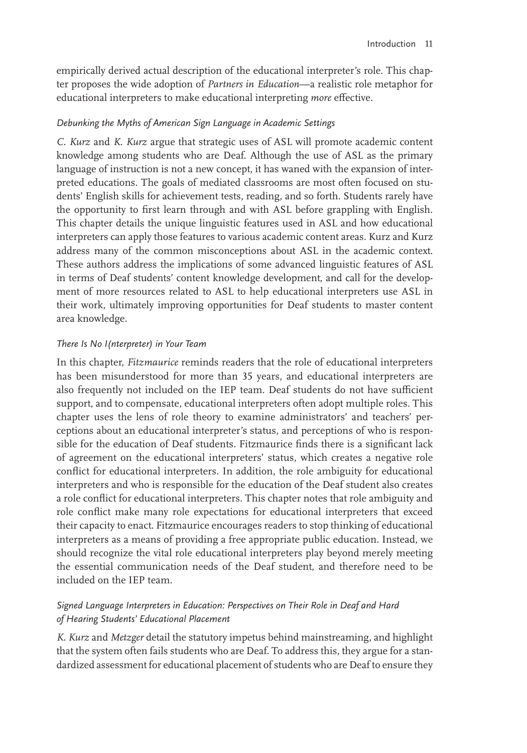empirically derived actual description of the educational interpreter's role. This chapter proposes the wide adoption of *Partners in Education*—a realistic role metaphor for educational interpreters to make educational interpreting *more* effective.

## *Debunking the Myths of American Sign Language in Academic Settings*

*C. Kurz* and *K. Kurz* argue that strategic uses of ASL will promote academic content knowledge among students who are Deaf. Although the use of ASL as the primary language of instruction is not a new concept, it has waned with the expansion of interpreted educations. The goals of mediated classrooms are most often focused on students' English skills for achievement tests, reading, and so forth. Students rarely have the opportunity to first learn through and with ASL before grappling with English. This chapter details the unique linguistic features used in ASL and how educational interpreters can apply those features to various academic content areas. Kurz and Kurz address many of the common misconceptions about ASL in the academic context. These authors address the implications of some advanced linguistic features of ASL in terms of Deaf students' content knowledge development, and call for the development of more resources related to ASL to help educational interpreters use ASL in their work, ultimately improving opportunities for Deaf students to master content area knowledge.

## *There Is No I(nterpreter) in Your Team*

In this chapter, *Fitzmaurice* reminds readers that the role of educational interpreters has been misunderstood for more than 35 years, and educational interpreters are also frequently not included on the IEP team. Deaf students do not have sufficient support, and to compensate, educational interpreters often adopt multiple roles. This chapter uses the lens of role theory to examine administrators' and teachers' perceptions about an educational interpreter's status, and perceptions of who is responsible for the education of Deaf students. Fitzmaurice finds there is a significant lack of agreement on the educational interpreters' status, which creates a negative role conflict for educational interpreters. In addition, the role ambiguity for educational interpreters and who is responsible for the education of the Deaf student also creates a role conflict for educational interpreters. This chapter notes that role ambiguity and role conflict make many role expectations for educational interpreters that exceed their capacity to enact. Fitzmaurice encourages readers to stop thinking of educational interpreters as a means of providing a free appropriate public education. Instead, we should recognize the vital role educational interpreters play beyond merely meeting the essential communication needs of the Deaf student, and therefore need to be included on the IEP team.

# *Signed Language Interpreters in Education: Perspectives on Their Role in Deaf and Hard of Hearing Students' Educational Placement*

*K. Kurz* and *Metzger* detail the statutory impetus behind mainstreaming, and highlight that the system often fails students who are Deaf. To address this, they argue for a standardized assessment for educational placement of students who are Deaf to ensure they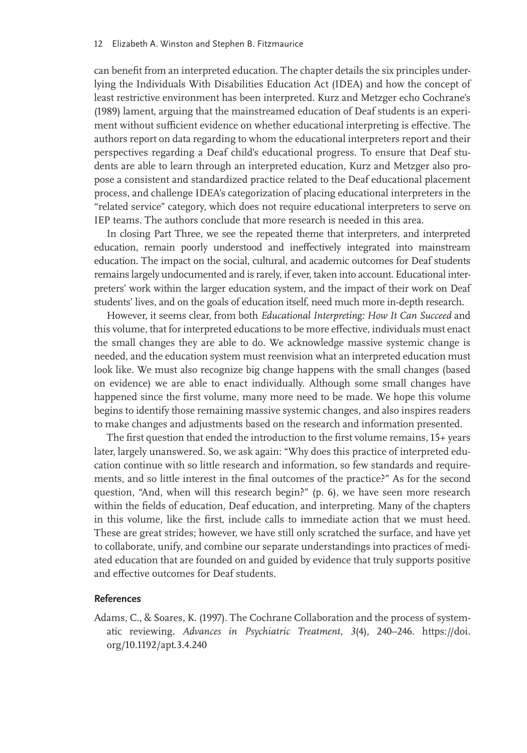can benefit from an interpreted education. The chapter details the six principles underlying the Individuals With Disabilities Education Act (IDEA) and how the concept of least restrictive environment has been interpreted. Kurz and Metzger echo Cochrane's (1989) lament, arguing that the mainstreamed education of Deaf students is an experiment without sufficient evidence on whether educational interpreting is effective. The authors report on data regarding to whom the educational interpreters report and their perspectives regarding a Deaf child's educational progress. To ensure that Deaf students are able to learn through an interpreted education, Kurz and Metzger also propose a consistent and standardized practice related to the Deaf educational placement process, and challenge IDEA's categorization of placing educational interpreters in the "related service" category, which does not require educational interpreters to serve on IEP teams. The authors conclude that more research is needed in this area.

In closing Part Three, we see the repeated theme that interpreters, and interpreted education, remain poorly understood and ineffectively integrated into mainstream education. The impact on the social, cultural, and academic outcomes for Deaf students remains largely undocumented and is rarely, if ever, taken into account. Educational interpreters' work within the larger education system, and the impact of their work on Deaf students' lives, and on the goals of education itself, need much more in-depth research.

However, it seems clear, from both *Educational Interpreting: How It Can Succeed* and this volume, that for interpreted educations to be more effective, individuals must enact the small changes they are able to do. We acknowledge massive systemic change is needed, and the education system must reenvision what an interpreted education must look like. We must also recognize big change happens with the small changes (based on evidence) we are able to enact individually. Although some small changes have happened since the first volume, many more need to be made. We hope this volume begins to identify those remaining massive systemic changes, and also inspires readers to make changes and adjustments based on the research and information presented.

The first question that ended the introduction to the first volume remains, 15+ years later, largely unanswered. So, we ask again: "Why does this practice of interpreted education continue with so little research and information, so few standards and requirements, and so little interest in the final outcomes of the practice?" As for the second question, "And, when will this research begin?" (p. 6), we have seen more research within the fields of education, Deaf education, and interpreting. Many of the chapters in this volume, like the first, include calls to immediate action that we must heed. These are great strides; however, we have still only scratched the surface, and have yet to collaborate, unify, and combine our separate understandings into practices of mediated education that are founded on and guided by evidence that truly supports positive and effective outcomes for Deaf students.

#### **References**

Adams, C., & Soares, K. (1997). The Cochrane Collaboration and the process of systematic reviewing. *Advances in Psychiatric Treatment*, *3*(4), 240–246. https://doi. org/10.1192/apt.3.4.240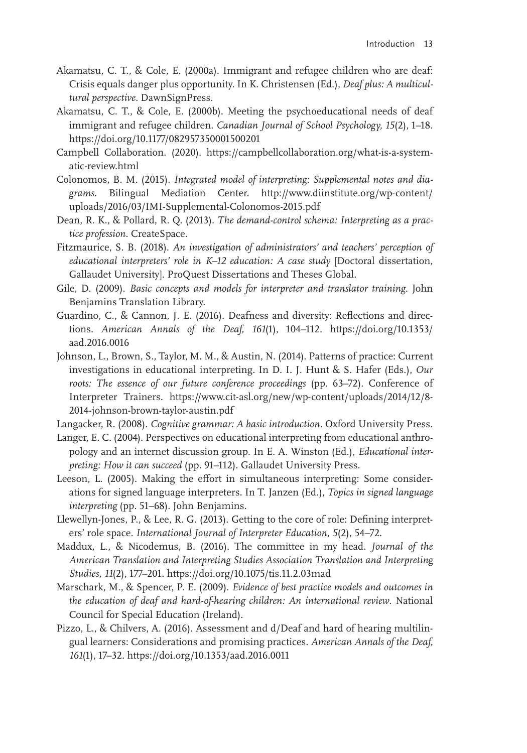- Akamatsu, C. T., & Cole, E. (2000a). Immigrant and refugee children who are deaf: Crisis equals danger plus opportunity. In K. Christensen (Ed.), *Deaf plus: A multicultural perspective.* DawnSignPress.
- Akamatsu, C. T., & Cole, E. (2000b). Meeting the psychoeducational needs of deaf immigrant and refugee children. *Canadian Journal of School Psychology, 15*(2), 1–18. https://doi.org/10.1177/082957350001500201
- Campbell Collaboration. (2020). https://campbellcollaboration.org/what-is-a-systematic-review.html
- Colonomos, B. M. (2015). *Integrated model of interpreting: Supplemental notes and diagrams*. Bilingual Mediation Center. http://www.diinstitute.org/wp-content/ uploads/2016/03/IMI-Supplemental-Colonomos-2015.pdf
- Dean, R. K., & Pollard, R. Q. (2013). *The demand-control schema: Interpreting as a practice profession.* CreateSpace.
- Fitzmaurice, S. B. (2018). *An investigation of administrators' and teachers' perception of educational interpreters' role in K–12 education: A case study* [Doctoral dissertation, Gallaudet University]. ProQuest Dissertations and Theses Global.
- Gile, D. (2009). *Basic concepts and models for interpreter and translator training*. John Benjamins Translation Library.
- Guardino, C., & Cannon, J. E. (2016). Deafness and diversity: Reflections and directions. *American Annals of the Deaf, 161*(1), 104–112. https://doi.org/10.1353/ aad.2016.0016
- Johnson, L., Brown, S., Taylor, M. M., & Austin, N. (2014). Patterns of practice: Current investigations in educational interpreting. In D. I. J. Hunt & S. Hafer (Eds.), *Our roots: The essence of our future conference proceedings* (pp. 63–72). Conference of Interpreter Trainers. https://www.cit-asl.org/new/wp-content/uploads/2014/12/8- 2014-johnson-brown-taylor-austin.pdf
- Langacker, R. (2008). *Cognitive grammar: A basic introduction.* Oxford University Press.
- Langer, E. C. (2004). Perspectives on educational interpreting from educational anthropology and an internet discussion group. In E. A. Winston (Ed.), *Educational interpreting: How it can succeed* (pp. 91–112). Gallaudet University Press.
- Leeson, L. (2005). Making the effort in simultaneous interpreting: Some considerations for signed language interpreters. In T. Janzen (Ed.), *Topics in signed language interpreting* (pp. 51–68). John Benjamins.
- Llewellyn-Jones, P., & Lee, R. G. (2013). Getting to the core of role: Defining interpreters' role space. *International Journal of Interpreter Education, 5*(2), 54–72.
- Maddux, L., & Nicodemus, B. (2016). The committee in my head. *Journal of the American Translation and Interpreting Studies Association Translation and Interpreting Studies, 11*(2), 177–201. https://doi.org/10.1075/tis.11.2.03mad
- Marschark, M., & Spencer, P. E. (2009). *Evidence of best practice models and outcomes in the education of deaf and hard-of-hearing children: An international review*. National Council for Special Education (Ireland).
- Pizzo, L., & Chilvers, A. (2016). Assessment and d/Deaf and hard of hearing multilingual learners: Considerations and promising practices. *American Annals of the Deaf, 161*(1), 17–32. https://doi.org/10.1353/aad.2016.0011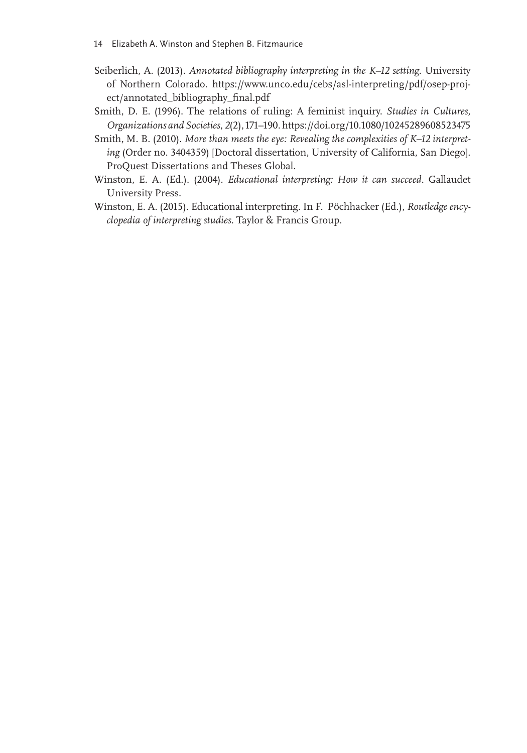- Seiberlich, A. (2013). *Annotated bibliography interpreting in the K–12 setting*. University of Northern Colorado. https://www.unco.edu/cebs/asl-interpreting/pdf/osep-project/annotated\_bibliography\_final.pdf
- Smith, D. E. (1996). The relations of ruling: A feminist inquiry. *Studies in Cultures, Organizations and Societies*, *2*(2), 171–190. https://doi.org/10.1080/10245289608523475
- Smith, M. B. (2010). *More than meets the eye: Revealing the complexities of K–12 interpreting* (Order no. 3404359) [Doctoral dissertation, University of California, San Diego]. ProQuest Dissertations and Theses Global.
- Winston, E. A. (Ed.). (2004). *Educational interpreting: How it can succeed.* Gallaudet University Press.
- Winston, E. A. (2015). Educational interpreting. In F. Pöchhacker (Ed.), *Routledge encyclopedia of interpreting studies.* Taylor & Francis Group.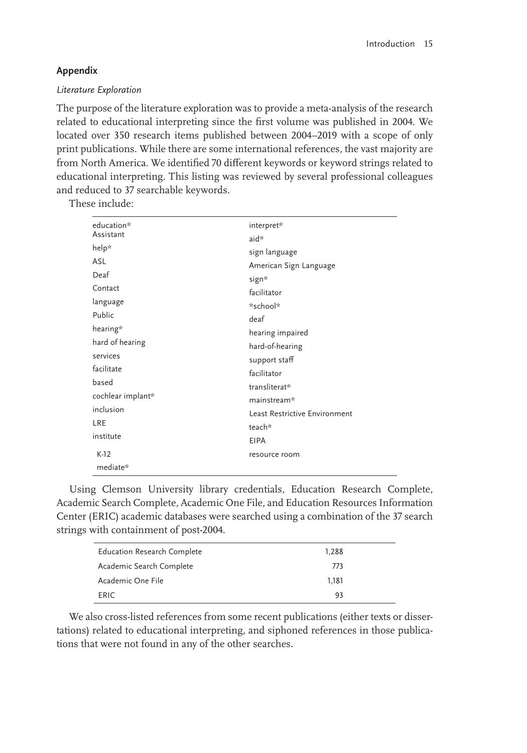# **Appendix**

## *Literature Exploration*

The purpose of the literature exploration was to provide a meta-analysis of the research related to educational interpreting since the first volume was published in 2004. We located over 350 research items published between 2004–2019 with a scope of only print publications. While there are some international references, the vast majority are from North America. We identified 70 different keywords or keyword strings related to educational interpreting. This listing was reviewed by several professional colleagues and reduced to 37 searchable keywords.

These include:

| education*        | interpret*                    |
|-------------------|-------------------------------|
| Assistant         | aid*                          |
| help*             | sign language                 |
| ASL               | American Sign Language        |
| Deaf              | sign*                         |
| Contact           | facilitator                   |
| language          | *school*                      |
| Public            | deaf                          |
| hearing*          | hearing impaired              |
| hard of hearing   | hard-of-hearing               |
| services          | support staff                 |
| facilitate        | facilitator                   |
| based             | transliterat*                 |
| cochlear implant* | mainstream*                   |
| inclusion         | Least Restrictive Environment |
| LRE               | teach*                        |
| institute         | <b>EIPA</b>                   |
| $K-12$            | resource room                 |
| mediate*          |                               |

Using Clemson University library credentials, Education Research Complete, Academic Search Complete, Academic One File, and Education Resources Information Center (ERIC) academic databases were searched using a combination of the 37 search strings with containment of post-2004.

| <b>Education Research Complete</b> | 1.288 |  |
|------------------------------------|-------|--|
| Academic Search Complete           | 773   |  |
| Academic One File                  | 1.181 |  |
| <b>FRIC</b>                        | 93    |  |

We also cross-listed references from some recent publications (either texts or dissertations) related to educational interpreting, and siphoned references in those publications that were not found in any of the other searches.